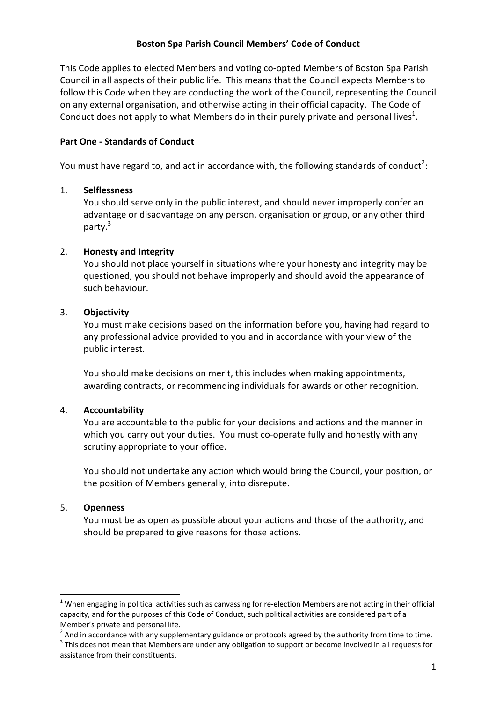### **Boston Spa Parish Council Members' Code of Conduct**

This Code applies to elected Members and voting co-opted Members of Boston Spa Parish Council in all aspects of their public life. This means that the Council expects Members to follow this Code when they are conducting the work of the Council, representing the Council on any external organisation, and otherwise acting in their official capacity. The Code of Conduct does not apply to what Members do in their purely private and personal lives<sup>1</sup>.

## **Part One - Standards of Conduct**

You must have regard to, and act in accordance with, the following standards of conduct<sup>2</sup>:

### 1. **Selflessness**

You should serve only in the public interest, and should never improperly confer an advantage or disadvantage on any person, organisation or group, or any other third party.<sup>3</sup>

### 2. **Honesty and Integrity**

You should not place yourself in situations where your honesty and integrity may be questioned, you should not behave improperly and should avoid the appearance of such behaviour.

### 3. **Objectivity**

You must make decisions based on the information before you, having had regard to any professional advice provided to you and in accordance with your view of the public interest.

You should make decisions on merit, this includes when making appointments, awarding contracts, or recommending individuals for awards or other recognition.

#### 4. **Accountability**

You are accountable to the public for your decisions and actions and the manner in which you carry out your duties. You must co-operate fully and honestly with any scrutiny appropriate to your office.

You should not undertake any action which would bring the Council, your position, or the position of Members generally, into disrepute.

#### 5. **Openness**

 $\overline{a}$ 

You must be as open as possible about your actions and those of the authority, and should be prepared to give reasons for those actions.

 $^1$  When engaging in political activities such as canvassing for re-election Members are not acting in their official capacity, and for the purposes of this Code of Conduct, such political activities are considered part of a Member's private and personal life.

 $^2$  And in accordance with any supplementary guidance or protocols agreed by the authority from time to time.

 $3$  This does not mean that Members are under any obligation to support or become involved in all requests for assistance from their constituents.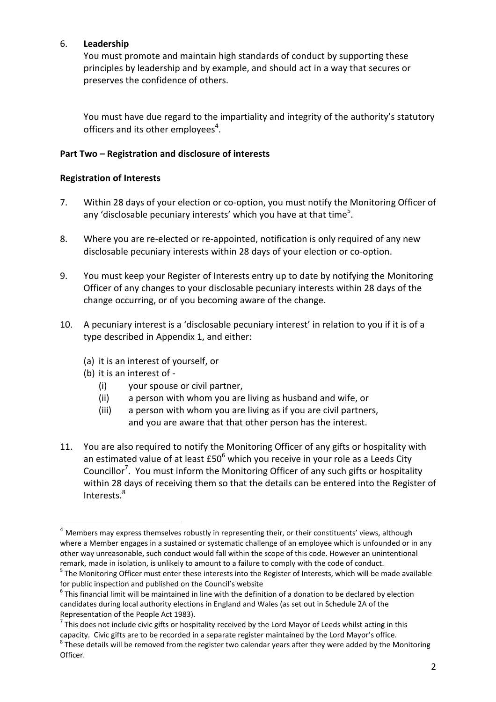# 6. **Leadership**

You must promote and maintain high standards of conduct by supporting these principles by leadership and by example, and should act in a way that secures or preserves the confidence of others.

You must have due regard to the impartiality and integrity of the authority's statutory officers and its other employees $4$ .

# **Part Two – Registration and disclosure of interests**

## **Registration of Interests**

- 7. Within 28 days of your election or co-option, you must notify the Monitoring Officer of any 'disclosable pecuniary interests' which you have at that time<sup>5</sup>.
- 8. Where you are re-elected or re-appointed, notification is only required of any new disclosable pecuniary interests within 28 days of your election or co-option.
- 9. You must keep your Register of Interests entry up to date by notifying the Monitoring Officer of any changes to your disclosable pecuniary interests within 28 days of the change occurring, or of you becoming aware of the change.
- 10. A pecuniary interest is a 'disclosable pecuniary interest' in relation to you if it is of a type described in Appendix 1, and either:
	- (a) it is an interest of yourself, or
	- (b) it is an interest of -

 $\overline{a}$ 

- (i) your spouse or civil partner,
- (ii) a person with whom you are living as husband and wife, or
- (iii) a person with whom you are living as if you are civil partners, and you are aware that that other person has the interest.
- 11. You are also required to notify the Monitoring Officer of any gifts or hospitality with an estimated value of at least £50<sup>6</sup> which you receive in your role as a Leeds City Councillor<sup>7</sup>. You must inform the Monitoring Officer of any such gifts or hospitality within 28 days of receiving them so that the details can be entered into the Register of Interests.<sup>8</sup>

 $4$  Members may express themselves robustly in representing their, or their constituents' views, although where a Member engages in a sustained or systematic challenge of an employee which is unfounded or in any other way unreasonable, such conduct would fall within the scope of this code. However an unintentional remark, made in isolation, is unlikely to amount to a failure to comply with the code of conduct.

<sup>&</sup>lt;sup>5</sup> The Monitoring Officer must enter these interests into the Register of Interests, which will be made available for public inspection and published on the Council's website

 $^6$  This financial limit will be maintained in line with the definition of a donation to be declared by election candidates during local authority elections in England and Wales (as set out in Schedule 2A of the Representation of the People Act 1983).

<sup>&</sup>lt;sup>7</sup> This does not include civic gifts or hospitality received by the Lord Mayor of Leeds whilst acting in this capacity. Civic gifts are to be recorded in a separate register maintained by the Lord Mayor's office.  $^8$  These details will be removed from the register two calendar years after they were added by the Monitoring Officer.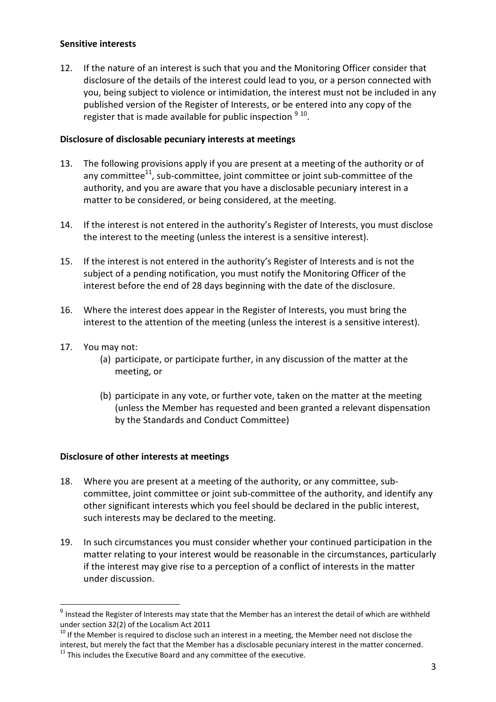### **Sensitive interests**

12. If the nature of an interest is such that you and the Monitoring Officer consider that disclosure of the details of the interest could lead to you, or a person connected with you, being subject to violence or intimidation, the interest must not be included in any published version of the Register of Interests, or be entered into any copy of the register that is made available for public inspection  $9^{10}$ .

### **Disclosure of disclosable pecuniary interests at meetings**

- 13. The following provisions apply if you are present at a meeting of the authority or of any committee<sup>11</sup>, sub-committee, joint committee or joint sub-committee of the authority, and you are aware that you have a disclosable pecuniary interest in a matter to be considered, or being considered, at the meeting.
- 14. If the interest is not entered in the authority's Register of Interests, you must disclose the interest to the meeting (unless the interest is a sensitive interest).
- 15. If the interest is not entered in the authority's Register of Interests and is not the subject of a pending notification, you must notify the Monitoring Officer of the interest before the end of 28 days beginning with the date of the disclosure.
- 16. Where the interest does appear in the Register of Interests, you must bring the interest to the attention of the meeting (unless the interest is a sensitive interest).
- 17. You may not:

 $\overline{a}$ 

- (a) participate, or participate further, in any discussion of the matter at the meeting, or
- (b) participate in any vote, or further vote, taken on the matter at the meeting (unless the Member has requested and been granted a relevant dispensation by the Standards and Conduct Committee)

#### **Disclosure of other interests at meetings**

- 18. Where you are present at a meeting of the authority, or any committee, subcommittee, joint committee or joint sub-committee of the authority, and identify any other significant interests which you feel should be declared in the public interest, such interests may be declared to the meeting.
- 19. In such circumstances you must consider whether your continued participation in the matter relating to your interest would be reasonable in the circumstances, particularly if the interest may give rise to a perception of a conflict of interests in the matter under discussion.

 $^9$  Instead the Register of Interests may state that the Member has an interest the detail of which are withheld under section 32(2) of the Localism Act 2011

 $10$  If the Member is required to disclose such an interest in a meeting, the Member need not disclose the interest, but merely the fact that the Member has a disclosable pecuniary interest in the matter concerned.  $11$  This includes the Executive Board and any committee of the executive.